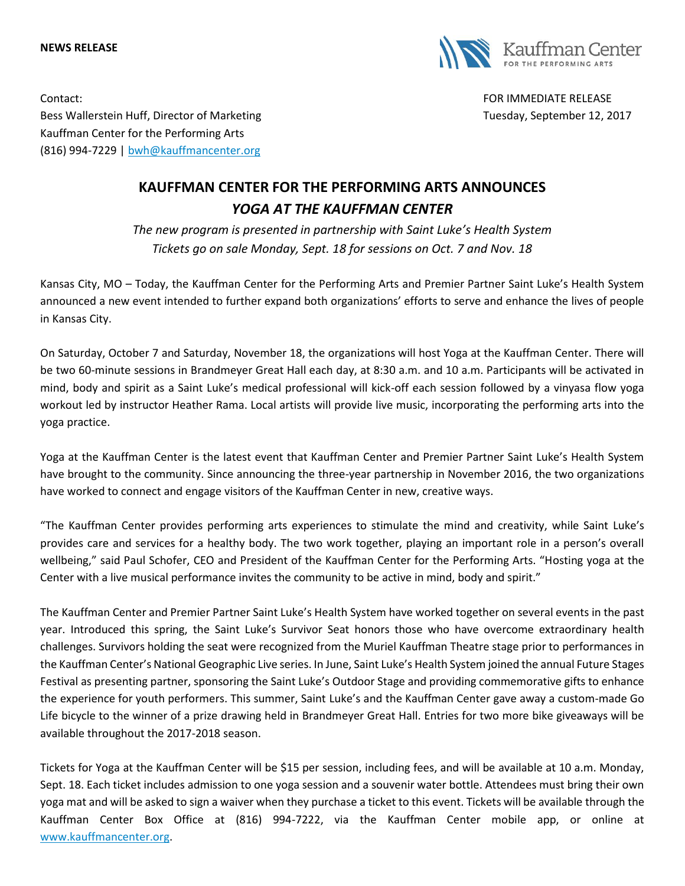## **NEWS RELEASE**



Contact: FOR IMMEDIATE RELEASE Bess Wallerstein Huff, Director of Marketing Tuesday, September 12, 2017 Kauffman Center for the Performing Arts (816) 994-7229 | [bwh@kauffmancenter.org](mailto:bwh@kauffmancenter.org)

## **KAUFFMAN CENTER FOR THE PERFORMING ARTS ANNOUNCES** *YOGA AT THE KAUFFMAN CENTER*

*The new program is presented in partnership with Saint Luke's Health System Tickets go on sale Monday, Sept. 18 for sessions on Oct. 7 and Nov. 18*

Kansas City, MO – Today, the Kauffman Center for the Performing Arts and Premier Partner Saint Luke's Health System announced a new event intended to further expand both organizations' efforts to serve and enhance the lives of people in Kansas City.

On Saturday, October 7 and Saturday, November 18, the organizations will host Yoga at the Kauffman Center. There will be two 60-minute sessions in Brandmeyer Great Hall each day, at 8:30 a.m. and 10 a.m. Participants will be activated in mind, body and spirit as a Saint Luke's medical professional will kick-off each session followed by a vinyasa flow yoga workout led by instructor Heather Rama. Local artists will provide live music, incorporating the performing arts into the yoga practice.

Yoga at the Kauffman Center is the latest event that Kauffman Center and Premier Partner Saint Luke's Health System have brought to the community. Since announcing the three-year partnership in November 2016, the two organizations have worked to connect and engage visitors of the Kauffman Center in new, creative ways.

"The Kauffman Center provides performing arts experiences to stimulate the mind and creativity, while Saint Luke's provides care and services for a healthy body. The two work together, playing an important role in a person's overall wellbeing," said Paul Schofer, CEO and President of the Kauffman Center for the Performing Arts. "Hosting yoga at the Center with a live musical performance invites the community to be active in mind, body and spirit."

The Kauffman Center and Premier Partner Saint Luke's Health System have worked together on several events in the past year. Introduced this spring, the Saint Luke's Survivor Seat honors those who have overcome extraordinary health challenges. Survivors holding the seat were recognized from the Muriel Kauffman Theatre stage prior to performances in the Kauffman Center's National Geographic Live series. In June, Saint Luke's Health System joined the annual Future Stages Festival as presenting partner, sponsoring the Saint Luke's Outdoor Stage and providing commemorative gifts to enhance the experience for youth performers. This summer, Saint Luke's and the Kauffman Center gave away a custom-made Go Life bicycle to the winner of a prize drawing held in Brandmeyer Great Hall. Entries for two more bike giveaways will be available throughout the 2017-2018 season.

Tickets for Yoga at the Kauffman Center will be \$15 per session, including fees, and will be available at 10 a.m. Monday, Sept. 18. Each ticket includes admission to one yoga session and a souvenir water bottle. Attendees must bring their own yoga mat and will be asked to sign a waiver when they purchase a ticket to this event. Tickets will be available through the Kauffman Center Box Office at (816) 994-7222, via the Kauffman Center mobile app, or online at [www.kauffmancenter.org.](www.kauffmancenter.org)